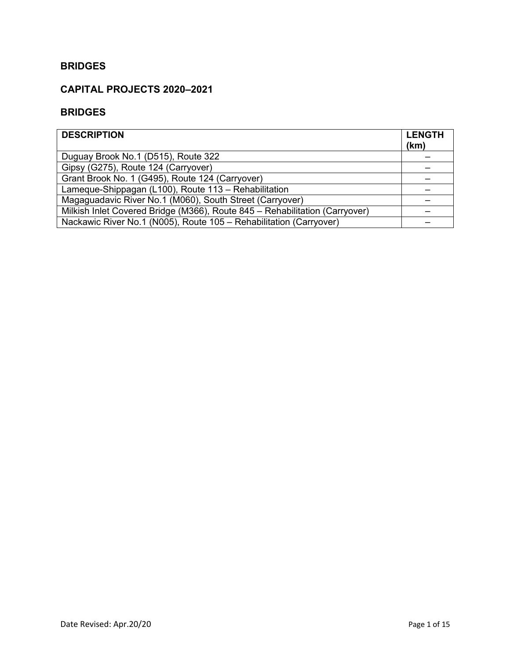# **BRIDGES**

### **CAPITAL PROJECTS 2020–2021**

### **BRIDGES**

| <b>DESCRIPTION</b>                                                          | <b>LENGTH</b><br>(km) |
|-----------------------------------------------------------------------------|-----------------------|
| Duguay Brook No.1 (D515), Route 322                                         |                       |
| Gipsy (G275), Route 124 (Carryover)                                         |                       |
| Grant Brook No. 1 (G495), Route 124 (Carryover)                             |                       |
| Lameque-Shippagan (L100), Route 113 - Rehabilitation                        |                       |
| Magaguadavic River No.1 (M060), South Street (Carryover)                    |                       |
| Milkish Inlet Covered Bridge (M366), Route 845 - Rehabilitation (Carryover) |                       |
| Nackawic River No.1 (N005), Route 105 - Rehabilitation (Carryover)          |                       |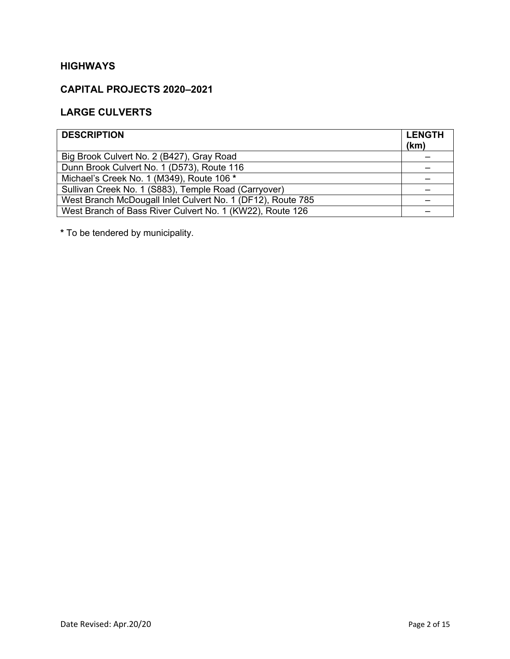### **CAPITAL PROJECTS 2020–2021**

# **LARGE CULVERTS**

| <b>DESCRIPTION</b>                                          | <b>LENGTH</b><br>(km) |
|-------------------------------------------------------------|-----------------------|
| Big Brook Culvert No. 2 (B427), Gray Road                   |                       |
| Dunn Brook Culvert No. 1 (D573), Route 116                  |                       |
| Michael's Creek No. 1 (M349), Route 106 *                   |                       |
| Sullivan Creek No. 1 (S883), Temple Road (Carryover)        |                       |
| West Branch McDougall Inlet Culvert No. 1 (DF12), Route 785 |                       |
| West Branch of Bass River Culvert No. 1 (KW22), Route 126   |                       |

**\*** To be tendered by municipality.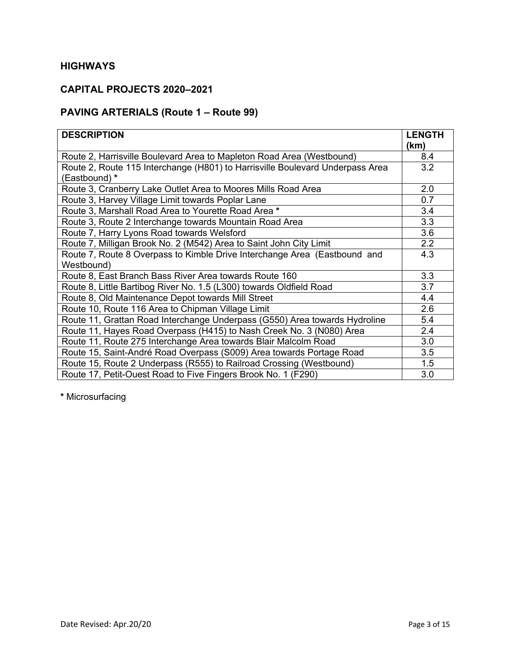### **CAPITAL PROJECTS 2020–2021**

# **PAVING ARTERIALS (Route 1 – Route 99)**

| <b>DESCRIPTION</b>                                                            | <b>LENGTH</b> |
|-------------------------------------------------------------------------------|---------------|
|                                                                               | (km)          |
| Route 2, Harrisville Boulevard Area to Mapleton Road Area (Westbound)         | 8.4           |
| Route 2, Route 115 Interchange (H801) to Harrisville Boulevard Underpass Area | 3.2           |
| (Eastbound) *                                                                 |               |
| Route 3, Cranberry Lake Outlet Area to Moores Mills Road Area                 | 2.0           |
| Route 3, Harvey Village Limit towards Poplar Lane                             | 0.7           |
| Route 3, Marshall Road Area to Yourette Road Area *                           | 3.4           |
| Route 3, Route 2 Interchange towards Mountain Road Area                       | 3.3           |
| Route 7, Harry Lyons Road towards Welsford                                    | 3.6           |
| Route 7, Milligan Brook No. 2 (M542) Area to Saint John City Limit            | 2.2           |
| Route 7, Route 8 Overpass to Kimble Drive Interchange Area (Eastbound and     | 4.3           |
| Westbound)                                                                    |               |
| Route 8, East Branch Bass River Area towards Route 160                        | 3.3           |
| Route 8, Little Bartibog River No. 1.5 (L300) towards Oldfield Road           | 3.7           |
| Route 8, Old Maintenance Depot towards Mill Street                            | 4.4           |
| Route 10, Route 116 Area to Chipman Village Limit                             | 2.6           |
| Route 11, Grattan Road Interchange Underpass (G550) Area towards Hydroline    | 5.4           |
| Route 11, Hayes Road Overpass (H415) to Nash Creek No. 3 (N080) Area          | 2.4           |
| Route 11, Route 275 Interchange Area towards Blair Malcolm Road               | 3.0           |
| Route 15, Saint-André Road Overpass (S009) Area towards Portage Road          | 3.5           |
| Route 15, Route 2 Underpass (R555) to Railroad Crossing (Westbound)           | 1.5           |
| Route 17, Petit-Ouest Road to Five Fingers Brook No. 1 (F290)                 | 3.0           |

**\*** Microsurfacing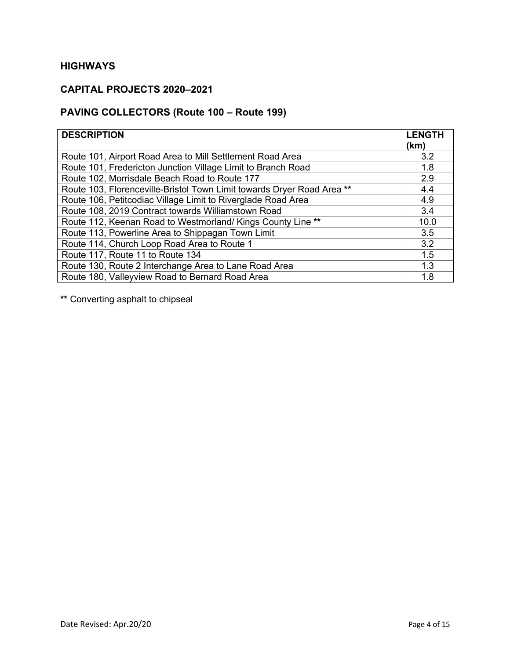### **CAPITAL PROJECTS 2020–2021**

# **PAVING COLLECTORS (Route 100 – Route 199)**

| <b>DESCRIPTION</b>                                                     | <b>LENGTH</b><br>(km) |
|------------------------------------------------------------------------|-----------------------|
| Route 101, Airport Road Area to Mill Settlement Road Area              | 3.2                   |
| Route 101, Fredericton Junction Village Limit to Branch Road           | 1.8                   |
| Route 102, Morrisdale Beach Road to Route 177                          | 2.9                   |
| Route 103, Florenceville-Bristol Town Limit towards Dryer Road Area ** | 4.4                   |
| Route 106, Petitcodiac Village Limit to Riverglade Road Area           | 4.9                   |
| Route 108, 2019 Contract towards Williamstown Road                     | 3.4                   |
| Route 112, Keenan Road to Westmorland/ Kings County Line **            | 10.0                  |
| Route 113, Powerline Area to Shippagan Town Limit                      | 3.5                   |
| Route 114, Church Loop Road Area to Route 1                            | 3.2                   |
| Route 117, Route 11 to Route 134                                       | 1.5                   |
| Route 130, Route 2 Interchange Area to Lane Road Area                  | 1.3                   |
| Route 180, Valleyview Road to Bernard Road Area                        | 1.8                   |

**\*\*** Converting asphalt to chipseal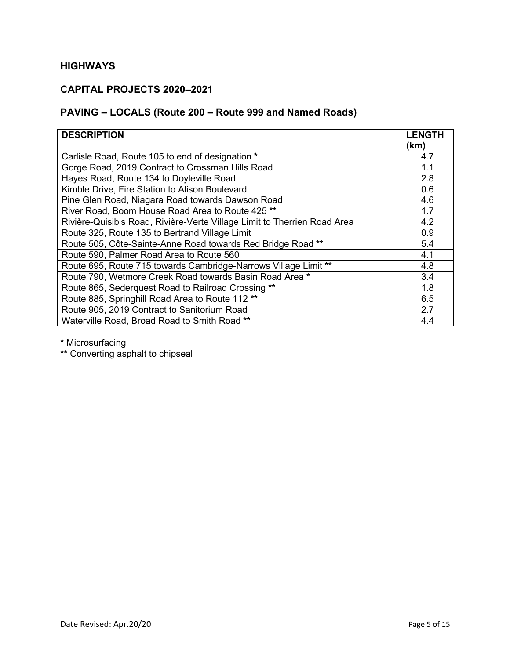#### **CAPITAL PROJECTS 2020–2021**

# **PAVING – LOCALS (Route 200 – Route 999 and Named Roads)**

| <b>DESCRIPTION</b>                                                       | <b>LENGTH</b><br>(km) |
|--------------------------------------------------------------------------|-----------------------|
| Carlisle Road, Route 105 to end of designation *                         | 4.7                   |
| Gorge Road, 2019 Contract to Crossman Hills Road                         | 1.1                   |
| Hayes Road, Route 134 to Doyleville Road                                 | 2.8                   |
| Kimble Drive, Fire Station to Alison Boulevard                           | 0.6                   |
| Pine Glen Road, Niagara Road towards Dawson Road                         | 4.6                   |
| River Road, Boom House Road Area to Route 425 **                         | 1.7                   |
| Rivière-Quisibis Road, Rivière-Verte Village Limit to Therrien Road Area | 4.2                   |
| Route 325, Route 135 to Bertrand Village Limit                           | 0.9                   |
| Route 505, Côte-Sainte-Anne Road towards Red Bridge Road **              | 5.4                   |
| Route 590, Palmer Road Area to Route 560                                 | 4.1                   |
| Route 695, Route 715 towards Cambridge-Narrows Village Limit **          | 4.8                   |
| Route 790, Wetmore Creek Road towards Basin Road Area *                  | 3.4                   |
| Route 865, Sederquest Road to Railroad Crossing **                       | 1.8                   |
| Route 885, Springhill Road Area to Route 112**                           | 6.5                   |
| Route 905, 2019 Contract to Sanitorium Road                              | 2.7                   |
| Waterville Road, Broad Road to Smith Road **                             | 4.4                   |

**\*** Microsurfacing

**\*\*** Converting asphalt to chipseal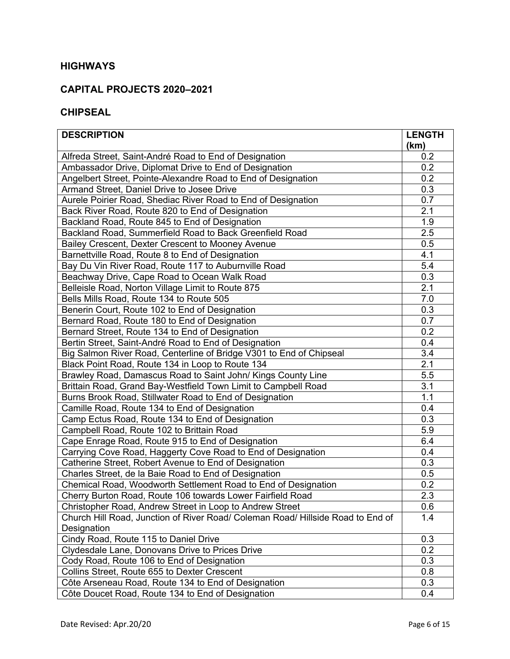### **CAPITAL PROJECTS 2020–2021**

### **CHIPSEAL**

| <b>DESCRIPTION</b>                                                              | <b>LENGTH</b> |
|---------------------------------------------------------------------------------|---------------|
|                                                                                 | (km)<br>0.2   |
| Alfreda Street, Saint-André Road to End of Designation                          | 0.2           |
| Ambassador Drive, Diplomat Drive to End of Designation                          | 0.2           |
| Angelbert Street, Pointe-Alexandre Road to End of Designation                   |               |
| Armand Street, Daniel Drive to Josee Drive                                      | 0.3           |
| Aurele Poirier Road, Shediac River Road to End of Designation                   | 0.7           |
| Back River Road, Route 820 to End of Designation                                | 2.1           |
| Backland Road, Route 845 to End of Designation                                  | 1.9           |
| Backland Road, Summerfield Road to Back Greenfield Road                         | 2.5           |
| Bailey Crescent, Dexter Crescent to Mooney Avenue                               | 0.5           |
| Barnettville Road, Route 8 to End of Designation                                | 4.1           |
| Bay Du Vin River Road, Route 117 to Auburnville Road                            | 5.4           |
| Beachway Drive, Cape Road to Ocean Walk Road                                    | 0.3           |
| Belleisle Road, Norton Village Limit to Route 875                               | 2.1           |
| Bells Mills Road, Route 134 to Route 505                                        | 7.0           |
| Benerin Court, Route 102 to End of Designation                                  | 0.3           |
| Bernard Road, Route 180 to End of Designation                                   | 0.7           |
| Bernard Street, Route 134 to End of Designation                                 | 0.2           |
| Bertin Street, Saint-André Road to End of Designation                           | 0.4           |
| Big Salmon River Road, Centerline of Bridge V301 to End of Chipseal             | 3.4           |
| Black Point Road, Route 134 in Loop to Route 134                                | 2.1           |
| Brawley Road, Damascus Road to Saint John/ Kings County Line                    | 5.5           |
| Brittain Road, Grand Bay-Westfield Town Limit to Campbell Road                  | 3.1           |
| Burns Brook Road, Stillwater Road to End of Designation                         | 1.1           |
| Camille Road, Route 134 to End of Designation                                   | 0.4           |
| Camp Ectus Road, Route 134 to End of Designation                                | 0.3           |
| Campbell Road, Route 102 to Brittain Road                                       | 5.9           |
| Cape Enrage Road, Route 915 to End of Designation                               | 6.4           |
| Carrying Cove Road, Haggerty Cove Road to End of Designation                    | 0.4           |
| Catherine Street, Robert Avenue to End of Designation                           | 0.3           |
| Charles Street, de la Baie Road to End of Designation                           | 0.5           |
| Chemical Road, Woodworth Settlement Road to End of Designation                  | 0.2           |
| Cherry Burton Road, Route 106 towards Lower Fairfield Road                      | 2.3           |
| Christopher Road, Andrew Street in Loop to Andrew Street                        | 0.6           |
| Church Hill Road, Junction of River Road/ Coleman Road/ Hillside Road to End of | 1.4           |
| Designation                                                                     |               |
| Cindy Road, Route 115 to Daniel Drive                                           | 0.3           |
| Clydesdale Lane, Donovans Drive to Prices Drive                                 | 0.2           |
| Cody Road, Route 106 to End of Designation                                      | 0.3           |
| Collins Street, Route 655 to Dexter Crescent                                    | 0.8           |
| Côte Arseneau Road, Route 134 to End of Designation                             | 0.3           |
| Côte Doucet Road, Route 134 to End of Designation                               | 0.4           |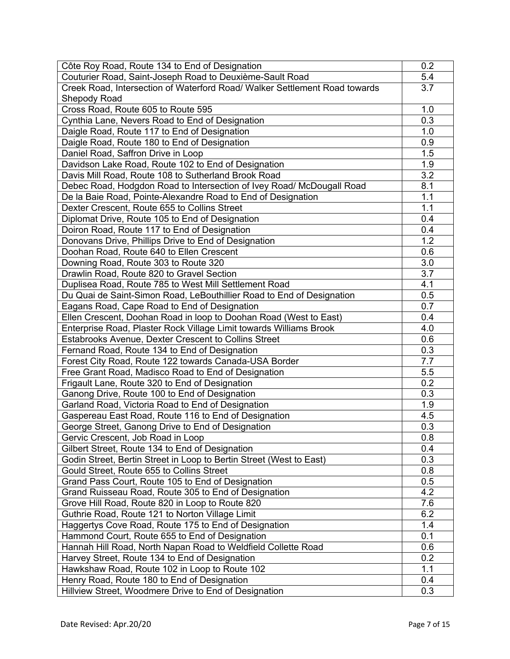| Côte Roy Road, Route 134 to End of Designation                             | 0.2              |
|----------------------------------------------------------------------------|------------------|
| Couturier Road, Saint-Joseph Road to Deuxième-Sault Road                   | 5.4              |
| Creek Road, Intersection of Waterford Road/ Walker Settlement Road towards | 3.7              |
| Shepody Road                                                               |                  |
| Cross Road, Route 605 to Route 595                                         | 1.0              |
| Cynthia Lane, Nevers Road to End of Designation                            | 0.3              |
| Daigle Road, Route 117 to End of Designation                               | 1.0              |
| Daigle Road, Route 180 to End of Designation                               | 0.9              |
| Daniel Road, Saffron Drive in Loop                                         | 1.5              |
| Davidson Lake Road, Route 102 to End of Designation                        | 1.9              |
| Davis Mill Road, Route 108 to Sutherland Brook Road                        | $\overline{3.2}$ |
| Debec Road, Hodgdon Road to Intersection of Ivey Road/ McDougall Road      | 8.1              |
| De la Baie Road, Pointe-Alexandre Road to End of Designation               | 1.1              |
| Dexter Crescent, Route 655 to Collins Street                               | 1.1              |
| Diplomat Drive, Route 105 to End of Designation                            | 0.4              |
| Doiron Road, Route 117 to End of Designation                               | 0.4              |
| Donovans Drive, Phillips Drive to End of Designation                       | 1.2              |
| Doohan Road, Route 640 to Ellen Crescent                                   | 0.6              |
| Downing Road, Route 303 to Route 320                                       | 3.0              |
| Drawlin Road, Route 820 to Gravel Section                                  | 3.7              |
| Duplisea Road, Route 785 to West Mill Settlement Road                      | 4.1              |
| Du Quai de Saint-Simon Road, LeBouthillier Road to End of Designation      | 0.5              |
| Eagans Road, Cape Road to End of Designation                               | 0.7              |
| Ellen Crescent, Doohan Road in loop to Doohan Road (West to East)          | 0.4              |
| Enterprise Road, Plaster Rock Village Limit towards Williams Brook         | 4.0              |
| Estabrooks Avenue, Dexter Crescent to Collins Street                       | 0.6              |
| Fernand Road, Route 134 to End of Designation                              | 0.3              |
| Forest City Road, Route 122 towards Canada-USA Border                      | 7.7              |
| Free Grant Road, Madisco Road to End of Designation                        | 5.5              |
| Frigault Lane, Route 320 to End of Designation                             | 0.2              |
| Ganong Drive, Route 100 to End of Designation                              | 0.3              |
| Garland Road, Victoria Road to End of Designation                          | 1.9              |
| Gaspereau East Road, Route 116 to End of Designation                       | 4.5              |
| George Street, Ganong Drive to End of Designation                          | 0.3              |
| Gervic Crescent, Job Road in Loop                                          | 0.8              |
| Gilbert Street, Route 134 to End of Designation                            | 0.4              |
| Godin Street, Bertin Street in Loop to Bertin Street (West to East)        | 0.3              |
| Gould Street, Route 655 to Collins Street                                  | 0.8              |
| Grand Pass Court, Route 105 to End of Designation                          | 0.5              |
| Grand Ruisseau Road, Route 305 to End of Designation                       | 4.2              |
| Grove Hill Road, Route 820 in Loop to Route 820                            | 7.6              |
| Guthrie Road, Route 121 to Norton Village Limit                            | 6.2              |
| Haggertys Cove Road, Route 175 to End of Designation                       | 1.4              |
| Hammond Court, Route 655 to End of Designation                             | 0.1              |
| Hannah Hill Road, North Napan Road to Weldfield Collette Road              | 0.6              |
| Harvey Street, Route 134 to End of Designation                             | 0.2              |
| Hawkshaw Road, Route 102 in Loop to Route 102                              | 1.1              |
| Henry Road, Route 180 to End of Designation                                | 0.4              |
| Hillview Street, Woodmere Drive to End of Designation                      | 0.3              |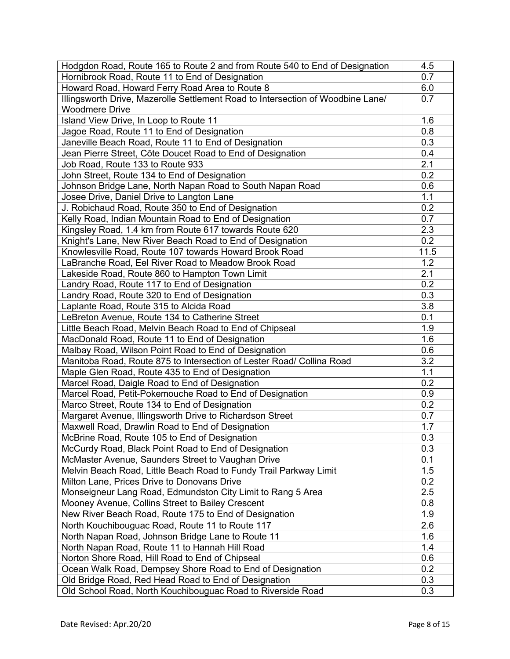| Hodgdon Road, Route 165 to Route 2 and from Route 540 to End of Designation     | 4.5  |
|---------------------------------------------------------------------------------|------|
| Hornibrook Road, Route 11 to End of Designation                                 | 0.7  |
| Howard Road, Howard Ferry Road Area to Route 8                                  | 6.0  |
| Illingsworth Drive, Mazerolle Settlement Road to Intersection of Woodbine Lane/ | 0.7  |
| <b>Woodmere Drive</b>                                                           |      |
| Island View Drive, In Loop to Route 11                                          | 1.6  |
| Jagoe Road, Route 11 to End of Designation                                      | 0.8  |
| Janeville Beach Road, Route 11 to End of Designation                            | 0.3  |
| Jean Pierre Street, Côte Doucet Road to End of Designation                      | 0.4  |
| Job Road, Route 133 to Route 933                                                | 2.1  |
| John Street, Route 134 to End of Designation                                    | 0.2  |
| Johnson Bridge Lane, North Napan Road to South Napan Road                       | 0.6  |
| Josee Drive, Daniel Drive to Langton Lane                                       | 1.1  |
| J. Robichaud Road, Route 350 to End of Designation                              | 0.2  |
| Kelly Road, Indian Mountain Road to End of Designation                          | 0.7  |
| Kingsley Road, 1.4 km from Route 617 towards Route 620                          | 2.3  |
| Knight's Lane, New River Beach Road to End of Designation                       | 0.2  |
| Knowlesville Road, Route 107 towards Howard Brook Road                          | 11.5 |
| LaBranche Road, Eel River Road to Meadow Brook Road                             | 1.2  |
| Lakeside Road, Route 860 to Hampton Town Limit                                  | 2.1  |
| Landry Road, Route 117 to End of Designation                                    | 0.2  |
| Landry Road, Route 320 to End of Designation                                    | 0.3  |
| Laplante Road, Route 315 to Alcida Road                                         | 3.8  |
| LeBreton Avenue, Route 134 to Catherine Street                                  | 0.1  |
| Little Beach Road, Melvin Beach Road to End of Chipseal                         | 1.9  |
| MacDonald Road, Route 11 to End of Designation                                  | 1.6  |
| Malbay Road, Wilson Point Road to End of Designation                            | 0.6  |
| Manitoba Road, Route 875 to Intersection of Lester Road/ Collina Road           | 3.2  |
| Maple Glen Road, Route 435 to End of Designation                                | 1.1  |
| Marcel Road, Daigle Road to End of Designation                                  | 0.2  |
| Marcel Road, Petit-Pokemouche Road to End of Designation                        | 0.9  |
| Marco Street, Route 134 to End of Designation                                   | 0.2  |
| Margaret Avenue, Illingsworth Drive to Richardson Street                        | 0.7  |
| Maxwell Road, Drawlin Road to End of Designation                                | 1.7  |
| McBrine Road, Route 105 to End of Designation                                   | 0.3  |
| McCurdy Road, Black Point Road to End of Designation                            | 0.3  |
| McMaster Avenue, Saunders Street to Vaughan Drive                               | 0.1  |
| Melvin Beach Road, Little Beach Road to Fundy Trail Parkway Limit               | 1.5  |
| Milton Lane, Prices Drive to Donovans Drive                                     | 0.2  |
| Monseigneur Lang Road, Edmundston City Limit to Rang 5 Area                     | 2.5  |
| Mooney Avenue, Collins Street to Bailey Crescent                                | 0.8  |
| New River Beach Road, Route 175 to End of Designation                           | 1.9  |
| North Kouchibouguac Road, Route 11 to Route 117                                 | 2.6  |
| North Napan Road, Johnson Bridge Lane to Route 11                               | 1.6  |
| North Napan Road, Route 11 to Hannah Hill Road                                  | 1.4  |
| Norton Shore Road, Hill Road to End of Chipseal                                 | 0.6  |
| Ocean Walk Road, Dempsey Shore Road to End of Designation                       | 0.2  |
| Old Bridge Road, Red Head Road to End of Designation                            | 0.3  |
| Old School Road, North Kouchibouguac Road to Riverside Road                     | 0.3  |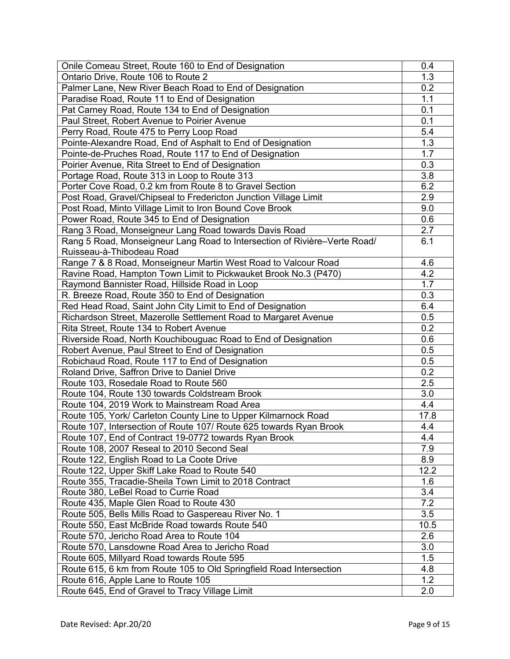| Onile Comeau Street, Route 160 to End of Designation                      | 0.4               |
|---------------------------------------------------------------------------|-------------------|
| Ontario Drive, Route 106 to Route 2                                       | 1.3               |
| Palmer Lane, New River Beach Road to End of Designation                   | 0.2               |
| Paradise Road, Route 11 to End of Designation                             | 1.1               |
| Pat Carney Road, Route 134 to End of Designation                          | 0.1               |
| Paul Street, Robert Avenue to Poirier Avenue                              | 0.1               |
| Perry Road, Route 475 to Perry Loop Road                                  | 5.4               |
| Pointe-Alexandre Road, End of Asphalt to End of Designation               | 1.3               |
| Pointe-de-Pruches Road, Route 117 to End of Designation                   | 1.7               |
| Poirier Avenue, Rita Street to End of Designation                         | 0.3               |
| Portage Road, Route 313 in Loop to Route 313                              | 3.8               |
| Porter Cove Road, 0.2 km from Route 8 to Gravel Section                   | 6.2               |
| Post Road, Gravel/Chipseal to Fredericton Junction Village Limit          | 2.9               |
| Post Road, Minto Village Limit to Iron Bound Cove Brook                   | 9.0               |
| Power Road, Route 345 to End of Designation                               | 0.6               |
| Rang 3 Road, Monseigneur Lang Road towards Davis Road                     | 2.7               |
| Rang 5 Road, Monseigneur Lang Road to Intersection of Rivière-Verte Road/ | 6.1               |
| Ruisseau-à-Thibodeau Road                                                 |                   |
| Range 7 & 8 Road, Monseigneur Martin West Road to Valcour Road            | 4.6               |
| Ravine Road, Hampton Town Limit to Pickwauket Brook No.3 (P470)           | 4.2               |
| Raymond Bannister Road, Hillside Road in Loop                             | 1.7               |
| R. Breeze Road, Route 350 to End of Designation                           | 0.3               |
| Red Head Road, Saint John City Limit to End of Designation                | 6.4               |
| Richardson Street, Mazerolle Settlement Road to Margaret Avenue           | 0.5               |
| Rita Street, Route 134 to Robert Avenue                                   | 0.2               |
| Riverside Road, North Kouchibouguac Road to End of Designation            | 0.6               |
| Robert Avenue, Paul Street to End of Designation                          | 0.5               |
| Robichaud Road, Route 117 to End of Designation                           | 0.5               |
| Roland Drive, Saffron Drive to Daniel Drive                               | 0.2               |
| Route 103, Rosedale Road to Route 560                                     | 2.5               |
| Route 104, Route 130 towards Coldstream Brook                             | 3.0               |
| Route 104, 2019 Work to Mainstream Road Area                              | 4.4               |
| Route 105, York/ Carleton County Line to Upper Kilmarnock Road            | 17.8              |
| Route 107, Intersection of Route 107/ Route 625 towards Ryan Brook        | 4.4               |
| Route 107, End of Contract 19-0772 towards Ryan Brook                     | 4.4               |
| Route 108, 2007 Reseal to 2010 Second Seal                                | 7.9               |
| Route 122, English Road to La Coote Drive                                 | 8.9               |
| Route 122, Upper Skiff Lake Road to Route 540                             | 12.2              |
| Route 355, Tracadie-Sheila Town Limit to 2018 Contract                    | 1.6               |
| Route 380, LeBel Road to Currie Road                                      | $\overline{3}$ .4 |
| Route 435, Maple Glen Road to Route 430                                   | 7.2               |
| Route 505, Bells Mills Road to Gaspereau River No. 1                      | 3.5               |
| Route 550, East McBride Road towards Route 540                            | 10.5              |
| Route 570, Jericho Road Area to Route 104                                 | 2.6               |
| Route 570, Lansdowne Road Area to Jericho Road                            | 3.0               |
| Route 605, Millyard Road towards Route 595                                | 1.5               |
| Route 615, 6 km from Route 105 to Old Springfield Road Intersection       | 4.8               |
| Route 616, Apple Lane to Route 105                                        | 1.2               |
| Route 645, End of Gravel to Tracy Village Limit                           | 2.0               |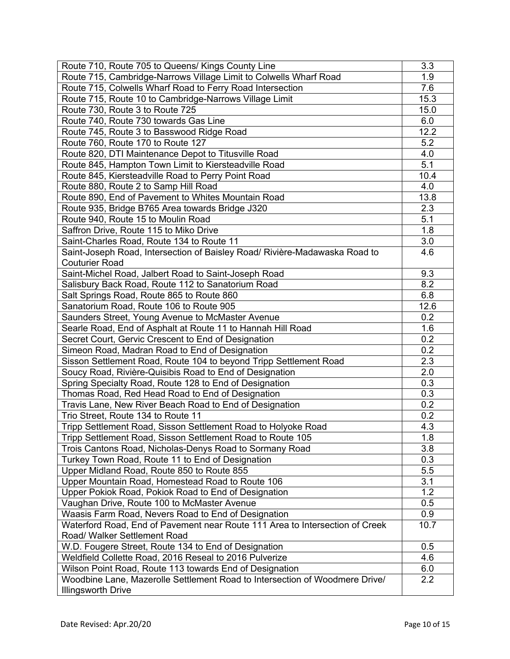| Route 710, Route 705 to Queens/ Kings County Line                                                            | 3.3               |
|--------------------------------------------------------------------------------------------------------------|-------------------|
| Route 715, Cambridge-Narrows Village Limit to Colwells Wharf Road                                            | 1.9               |
| Route 715, Colwells Wharf Road to Ferry Road Intersection                                                    | 7.6               |
| Route 715, Route 10 to Cambridge-Narrows Village Limit                                                       | 15.3              |
| Route 730, Route 3 to Route 725                                                                              | 15.0              |
| Route 740, Route 730 towards Gas Line                                                                        | 6.0               |
| Route 745, Route 3 to Basswood Ridge Road                                                                    | 12.2              |
| Route 760, Route 170 to Route 127                                                                            | 5.2               |
| Route 820, DTI Maintenance Depot to Titusville Road                                                          | 4.0               |
| Route 845, Hampton Town Limit to Kiersteadville Road                                                         | 5.1               |
| Route 845, Kiersteadville Road to Perry Point Road                                                           | 10.4              |
| Route 880, Route 2 to Samp Hill Road                                                                         | 4.0               |
| Route 890, End of Pavement to Whites Mountain Road                                                           | 13.8              |
| Route 935, Bridge B765 Area towards Bridge J320                                                              | 2.3               |
| Route 940, Route 15 to Moulin Road                                                                           | 5.1               |
| Saffron Drive, Route 115 to Miko Drive                                                                       | 1.8               |
| Saint-Charles Road, Route 134 to Route 11                                                                    | 3.0               |
| Saint-Joseph Road, Intersection of Baisley Road/ Rivière-Madawaska Road to<br><b>Couturier Road</b>          | 4.6               |
| Saint-Michel Road, Jalbert Road to Saint-Joseph Road                                                         | 9.3               |
| Salisbury Back Road, Route 112 to Sanatorium Road                                                            | 8.2               |
| Salt Springs Road, Route 865 to Route 860                                                                    | 6.8               |
| Sanatorium Road, Route 106 to Route 905                                                                      | 12.6              |
| Saunders Street, Young Avenue to McMaster Avenue                                                             | 0.2               |
| Searle Road, End of Asphalt at Route 11 to Hannah Hill Road                                                  | 1.6               |
| Secret Court, Gervic Crescent to End of Designation                                                          | $\overline{0.2}$  |
| Simeon Road, Madran Road to End of Designation                                                               | 0.2               |
| Sisson Settlement Road, Route 104 to beyond Tripp Settlement Road                                            | 2.3               |
| Soucy Road, Rivière-Quisibis Road to End of Designation                                                      | 2.0               |
| Spring Specialty Road, Route 128 to End of Designation                                                       | 0.3               |
| Thomas Road, Red Head Road to End of Designation                                                             | 0.3               |
| Travis Lane, New River Beach Road to End of Designation                                                      | 0.2               |
| Trio Street, Route 134 to Route 11                                                                           | 0.2               |
| Tripp Settlement Road, Sisson Settlement Road to Holyoke Road                                                | 4.3               |
| Tripp Settlement Road, Sisson Settlement Road to Route 105                                                   | 1.8               |
| Trois Cantons Road, Nicholas-Denys Road to Sormany Road                                                      | 3.8               |
| Turkey Town Road, Route 11 to End of Designation                                                             | 0.3               |
| Upper Midland Road, Route 850 to Route 855                                                                   | 5.5               |
| Upper Mountain Road, Homestead Road to Route 106                                                             | 3.1               |
| Upper Pokiok Road, Pokiok Road to End of Designation                                                         | $\overline{1}$ .2 |
| Vaughan Drive, Route 100 to McMaster Avenue                                                                  | 0.5               |
| Waasis Farm Road, Nevers Road to End of Designation                                                          | 0.9               |
| Waterford Road, End of Pavement near Route 111 Area to Intersection of Creek<br>Road/ Walker Settlement Road | 10.7              |
| W.D. Fougere Street, Route 134 to End of Designation                                                         | 0.5               |
| Weldfield Collette Road, 2016 Reseal to 2016 Pulverize                                                       | 4.6               |
| Wilson Point Road, Route 113 towards End of Designation                                                      | 6.0               |
| Woodbine Lane, Mazerolle Settlement Road to Intersection of Woodmere Drive/<br><b>Illingsworth Drive</b>     | 2.2               |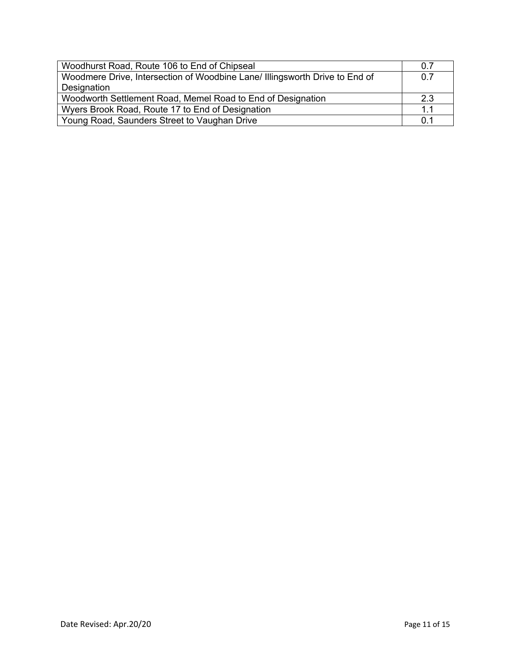| Woodhurst Road, Route 106 to End of Chipseal                                | 0.7 |
|-----------------------------------------------------------------------------|-----|
| Woodmere Drive, Intersection of Woodbine Lane/ Illingsworth Drive to End of | 0.7 |
| Designation                                                                 |     |
| Woodworth Settlement Road, Memel Road to End of Designation                 | 2.3 |
| Wyers Brook Road, Route 17 to End of Designation                            | 1.1 |
| Young Road, Saunders Street to Vaughan Drive                                | 0.1 |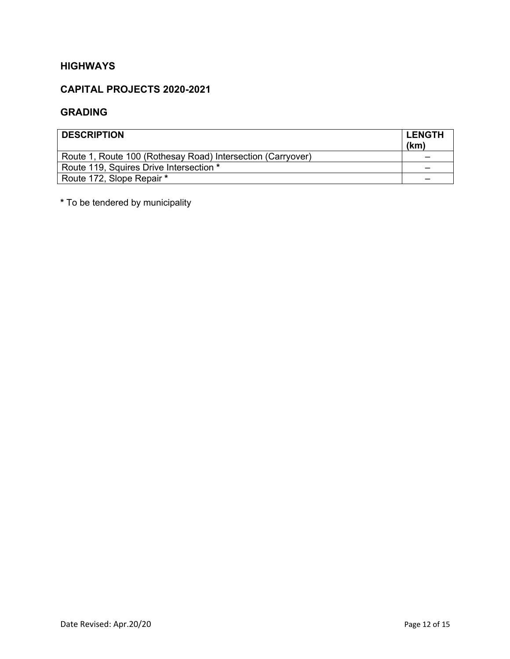### **CAPITAL PROJECTS 2020-2021**

#### **GRADING**

| <b>DESCRIPTION</b>                                          | <b>LENGTH</b><br>(km) |
|-------------------------------------------------------------|-----------------------|
| Route 1, Route 100 (Rothesay Road) Intersection (Carryover) |                       |
| Route 119, Squires Drive Intersection *                     |                       |
| Route 172, Slope Repair *                                   |                       |

**\*** To be tendered by municipality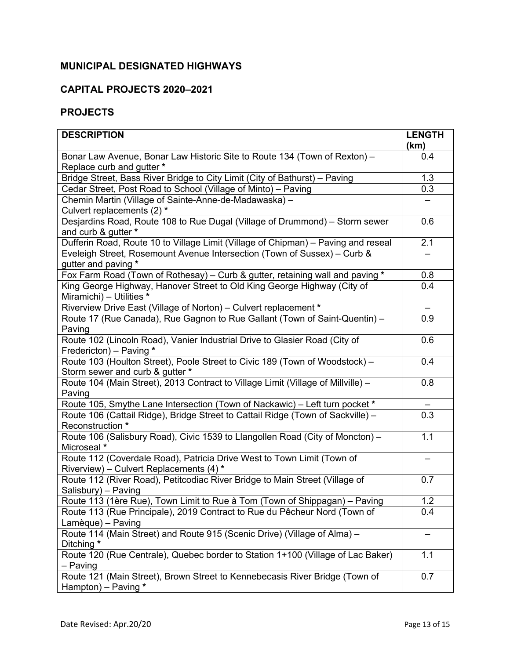## **MUNICIPAL DESIGNATED HIGHWAYS**

# **CAPITAL PROJECTS 2020–2021**

## **PROJECTS**

| <b>DESCRIPTION</b>                                                                                                | <b>LENGTH</b><br>(km) |
|-------------------------------------------------------------------------------------------------------------------|-----------------------|
| Bonar Law Avenue, Bonar Law Historic Site to Route 134 (Town of Rexton) -<br>Replace curb and gutter *            | 0.4                   |
| Bridge Street, Bass River Bridge to City Limit (City of Bathurst) - Paving                                        | 1.3                   |
| Cedar Street, Post Road to School (Village of Minto) - Paving                                                     | 0.3                   |
| Chemin Martin (Village of Sainte-Anne-de-Madawaska) -<br>Culvert replacements (2) *                               |                       |
| Desjardins Road, Route 108 to Rue Dugal (Village of Drummond) - Storm sewer<br>and curb & gutter *                | 0.6                   |
| Dufferin Road, Route 10 to Village Limit (Village of Chipman) - Paving and reseal                                 | 2.1                   |
| Eveleigh Street, Rosemount Avenue Intersection (Town of Sussex) - Curb &<br>gutter and paving *                   |                       |
| Fox Farm Road (Town of Rothesay) - Curb & gutter, retaining wall and paving *                                     | 0.8                   |
| King George Highway, Hanover Street to Old King George Highway (City of<br>Miramichi) - Utilities *               | 0.4                   |
| Riverview Drive East (Village of Norton) - Culvert replacement *                                                  |                       |
| Route 17 (Rue Canada), Rue Gagnon to Rue Gallant (Town of Saint-Quentin) -<br>Paving                              | 0.9                   |
| Route 102 (Lincoln Road), Vanier Industrial Drive to Glasier Road (City of<br>Fredericton) - Paving *             | 0.6                   |
| Route 103 (Houlton Street), Poole Street to Civic 189 (Town of Woodstock) -<br>Storm sewer and curb & gutter *    | 0.4                   |
| Route 104 (Main Street), 2013 Contract to Village Limit (Village of Millville) -<br>Paving                        | 0.8                   |
| Route 105, Smythe Lane Intersection (Town of Nackawic) - Left turn pocket *                                       |                       |
| Route 106 (Cattail Ridge), Bridge Street to Cattail Ridge (Town of Sackville) -<br>Reconstruction *               | $\overline{0.3}$      |
| Route 106 (Salisbury Road), Civic 1539 to Llangollen Road (City of Moncton) -<br>Microseal *                      | 1.1                   |
| Route 112 (Coverdale Road), Patricia Drive West to Town Limit (Town of<br>Riverview) - Culvert Replacements (4) * |                       |
| Route 112 (River Road), Petitcodiac River Bridge to Main Street (Village of<br>Salisbury) - Paving                | 0.7                   |
| Route 113 (1ère Rue), Town Limit to Rue à Tom (Town of Shippagan) - Paving                                        | 1.2                   |
| Route 113 (Rue Principale), 2019 Contract to Rue du Pêcheur Nord (Town of<br>Lamèque) - Paving                    | 0.4                   |
| Route 114 (Main Street) and Route 915 (Scenic Drive) (Village of Alma) -<br>Ditching *                            |                       |
| Route 120 (Rue Centrale), Quebec border to Station 1+100 (Village of Lac Baker)<br>- Paving                       | 1.1                   |
| Route 121 (Main Street), Brown Street to Kennebecasis River Bridge (Town of<br>Hampton) – Paving $*$              | 0.7                   |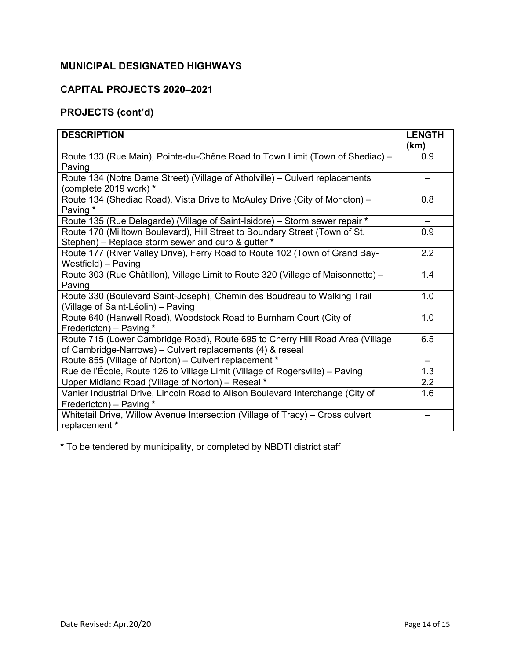## **MUNICIPAL DESIGNATED HIGHWAYS**

#### **CAPITAL PROJECTS 2020–2021**

# **PROJECTS (cont'd)**

| <b>DESCRIPTION</b>                                                                                                                | <b>LENGTH</b><br>(km) |
|-----------------------------------------------------------------------------------------------------------------------------------|-----------------------|
| Route 133 (Rue Main), Pointe-du-Chêne Road to Town Limit (Town of Shediac) -                                                      | 0.9                   |
| Paving                                                                                                                            |                       |
| Route 134 (Notre Dame Street) (Village of Atholville) - Culvert replacements<br>(complete 2019 work) *                            |                       |
| Route 134 (Shediac Road), Vista Drive to McAuley Drive (City of Moncton) -                                                        | 0.8                   |
| Paving *                                                                                                                          |                       |
| Route 135 (Rue Delagarde) (Village of Saint-Isidore) – Storm sewer repair *                                                       |                       |
| Route 170 (Milltown Boulevard), Hill Street to Boundary Street (Town of St.<br>Stephen) – Replace storm sewer and curb & gutter * | 0.9                   |
| Route 177 (River Valley Drive), Ferry Road to Route 102 (Town of Grand Bay-                                                       | 2.2                   |
| Westfield) - Paving                                                                                                               |                       |
| Route 303 (Rue Châtillon), Village Limit to Route 320 (Village of Maisonnette) -                                                  | 1.4                   |
| Paving                                                                                                                            |                       |
| Route 330 (Boulevard Saint-Joseph), Chemin des Boudreau to Walking Trail                                                          | 1.0                   |
| (Village of Saint-Léolin) - Paving                                                                                                |                       |
| Route 640 (Hanwell Road), Woodstock Road to Burnham Court (City of                                                                | 1.0                   |
| Fredericton) - Paving *                                                                                                           |                       |
| Route 715 (Lower Cambridge Road), Route 695 to Cherry Hill Road Area (Village                                                     | 6.5                   |
| of Cambridge-Narrows) – Culvert replacements (4) & reseal                                                                         |                       |
| Route 855 (Village of Norton) - Culvert replacement *                                                                             |                       |
| Rue de l'École, Route 126 to Village Limit (Village of Rogersville) – Paving                                                      | 1.3                   |
| Upper Midland Road (Village of Norton) - Reseal *                                                                                 | 2.2                   |
| Vanier Industrial Drive, Lincoln Road to Alison Boulevard Interchange (City of                                                    | 1.6                   |
| Fredericton) - Paving *                                                                                                           |                       |
| Whitetail Drive, Willow Avenue Intersection (Village of Tracy) - Cross culvert                                                    |                       |
| replacement *                                                                                                                     |                       |

**\*** To be tendered by municipality, or completed by NBDTI district staff